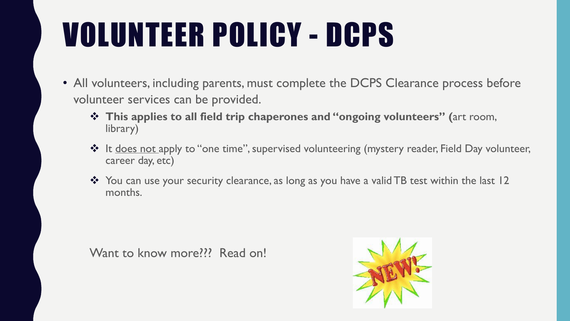# VOLUNTEER POLICY - DCPS

- All volunteers, including parents, must complete the DCPS Clearance process before volunteer services can be provided.
	- v **This applies to all field trip chaperones and "ongoing volunteers" (**art room, library)
	- **\*** It does not apply to "one time", supervised volunteering (mystery reader, Field Day volunteer, career day, etc)
	- \* You can use your security clearance, as long as you have a valid TB test within the last 12 months.

Want to know more??? Read on!

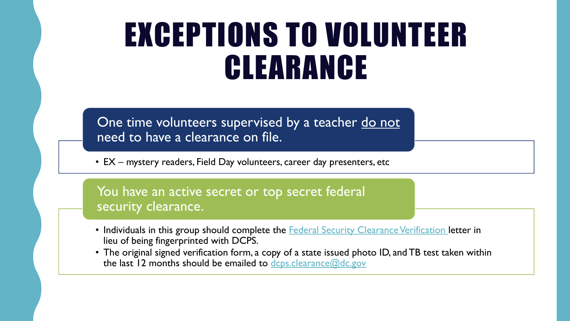## EXCEPTIONS TO VOLUNTEER CLEARANCE

One time volunteers supervised by a teacher do not need to have a clearance on file.

• EX – mystery readers, Field Day volunteers, career day presenters, etc

You have an active secret or top secret federal security clearance.

- Individuals in this group should complete the **[Federal Security Clearance Verification](https://dcps.dc.gov/node/946482)** letter in lieu of being fingerprinted with DCPS.
- The original signed verification form, a copy of a state issued photo ID, and TB test taken within the last 12 months should be emailed to [dcps.clearance@dc.gov](mailto:dcps.clearance@dc.gov)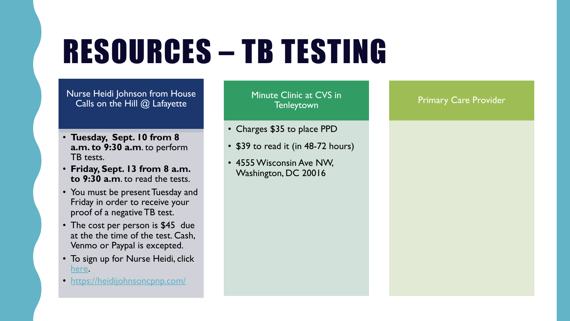## RESOURCES – TB TESTING

Nurse Heidi Johnson from House Calls on the Hill @ Lafayette

- **Tuesday, Sept. 10 from 8 a.m. to 9:30 a.m**. to perform TB tests.
- **Friday, Sept. 13 from 8 a.m. to 9:30 a.m**. to read the tests.
- You must be present Tuesday and Friday in order to receive your proof of a negative TB test.
- The cost per person is \$45 due at the the time of the test. Cash, Venmo or Paypal is excepted.
- To sign up for Nurse Heidi, click [here.](https://docs.google.com/forms/d/e/1FAIpQLSeCnRjJfm1odG4AtV68I--8-ce1bjCEjP27Tomu_bRN3wLLWw/viewform?usp=sf_link)
- <https://heidijohnsoncpnp.com/>

Minute Clinic at CVS in **Tenleytown** 

- Charges \$35 to place PPD
- \$39 to read it (in 48-72 hours)
- 4555 Wisconsin Ave NW, Washington, DC 20016

#### Primary Care Provider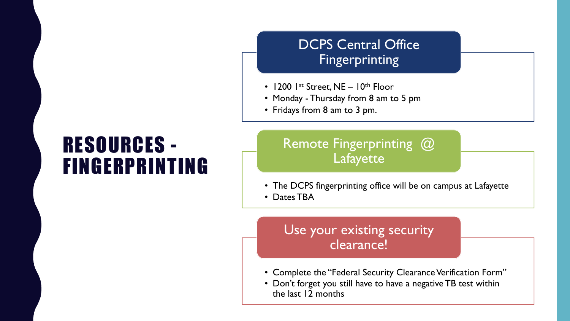### RESOURCES - FINGERPRINTING

### DCPS Central Office Fingerprinting

- 1200  $1^{st}$  Street, NE  $10^{th}$  Floor
- Monday Thursday from 8 am to 5 pm
- Fridays from 8 am to 3 pm.

### Remote Fingerprinting @ Lafayette

- The DCPS fingerprinting office will be on campus at Lafayette
- Dates TBA

### Use your existing security clearance!

- Complete the "Federal Security Clearance Verification Form"
- Don't forget you still have to have a negative TB test within the last 12 months